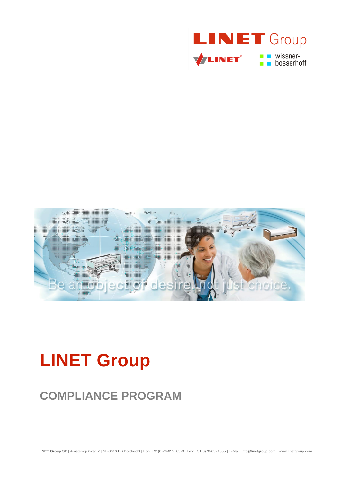



# **LINET Group**

# **COMPLIANCE PROGRAM**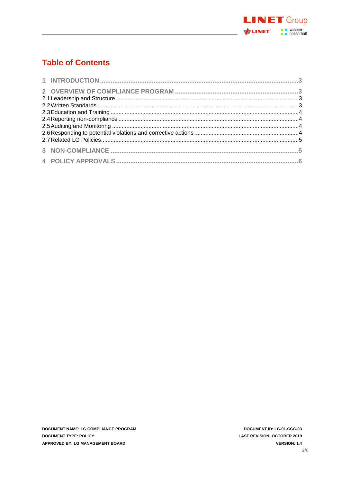

# **Table of Contents**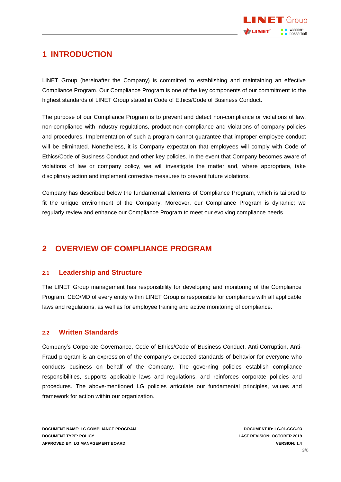

## <span id="page-2-0"></span>**1 INTRODUCTION**

LINET Group (hereinafter the Company) is committed to establishing and maintaining an effective Compliance Program. Our Compliance Program is one of the key components of our commitment to the highest standards of LINET Group stated in Code of Ethics/Code of Business Conduct.

The purpose of our Compliance Program is to prevent and detect non-compliance or violations of law, non-compliance with industry regulations, product non-compliance and violations of company policies and procedures. Implementation of such a program cannot guarantee that improper employee conduct will be eliminated. Nonetheless, it is Company expectation that employees will comply with Code of Ethics/Code of Business Conduct and other key policies. In the event that Company becomes aware of violations of law or company policy, we will investigate the matter and, where appropriate, take disciplinary action and implement corrective measures to prevent future violations.

Company has described below the fundamental elements of Compliance Program, which is tailored to fit the unique environment of the Company. Moreover, our Compliance Program is dynamic; we regularly review and enhance our Compliance Program to meet our evolving compliance needs.

# <span id="page-2-1"></span>**2 OVERVIEW OF COMPLIANCE PROGRAM**

#### <span id="page-2-2"></span>**2.1 Leadership and Structure**

The LINET Group management has responsibility for developing and monitoring of the Compliance Program. CEO/MD of every entity within LINET Group is responsible for compliance with all applicable laws and regulations, as well as for employee training and active monitoring of compliance.

#### <span id="page-2-3"></span>**2.2 Written Standards**

Company's Corporate Governance, Code of Ethics/Code of Business Conduct, Anti-Corruption, Anti-Fraud program is an expression of the company's expected standards of behavior for everyone who conducts business on behalf of the Company. The governing policies establish compliance responsibilities, supports applicable laws and regulations, and reinforces corporate policies and procedures. The above-mentioned LG policies articulate our fundamental principles, values and framework for action within our organization.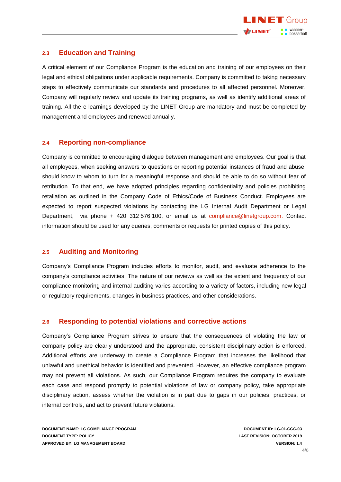

#### <span id="page-3-0"></span>**2.3 Education and Training**

A critical element of our Compliance Program is the education and training of our employees on their legal and ethical obligations under applicable requirements. Company is committed to taking necessary steps to effectively communicate our standards and procedures to all affected personnel. Moreover, Company will regularly review and update its training programs, as well as identify additional areas of training. All the e-learnings developed by the LINET Group are mandatory and must be completed by management and employees and renewed annually.

#### <span id="page-3-1"></span>**2.4 Reporting non-compliance**

Company is committed to encouraging dialogue between management and employees. Our goal is that all employees, when seeking answers to questions or reporting potential instances of fraud and abuse, should know to whom to turn for a meaningful response and should be able to do so without fear of retribution. To that end, we have adopted principles regarding confidentiality and policies prohibiting retaliation as outlined in the Company Code of Ethics/Code of Business Conduct. Employees are expected to report suspected violations by contacting the LG Internal Audit Department or Legal Department, via phone + 420 312 576 100, or email us at [compliance@linetgroup.com.](mailto:compliance@linetgroup.com) Contact information should be used for any queries, comments or requests for printed copies of this policy.

#### <span id="page-3-2"></span>**2.5 Auditing and Monitoring**

Company's Compliance Program includes efforts to monitor, audit, and evaluate adherence to the company's compliance activities. The nature of our reviews as well as the extent and frequency of our compliance monitoring and internal auditing varies according to a variety of factors, including new legal or regulatory requirements, changes in business practices, and other considerations.

#### <span id="page-3-3"></span>**2.6 Responding to potential violations and corrective actions**

Company's Compliance Program strives to ensure that the consequences of violating the law or company policy are clearly understood and the appropriate, consistent disciplinary action is enforced. Additional efforts are underway to create a Compliance Program that increases the likelihood that unlawful and unethical behavior is identified and prevented. However, an effective compliance program may not prevent all violations. As such, our Compliance Program requires the company to evaluate each case and respond promptly to potential violations of law or company policy, take appropriate disciplinary action, assess whether the violation is in part due to gaps in our policies, practices, or internal controls, and act to prevent future violations.

**DOCUMENT NAME: LG COMPLIANCE PROGRAM DOCUMENT ID: LG-01-CGC-03 DOCUMENT TYPE: POLICY LAST REVISION: OCTOBER 2019 APPROVED BY: LG MANAGEMENT BOARD VERSION: 1.4**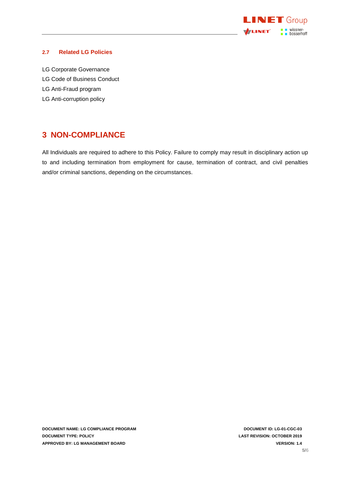

#### <span id="page-4-0"></span>**2.7 Related LG Policies**

- LG Corporate Governance
- LG Code of Business Conduct
- LG Anti-Fraud program
- <span id="page-4-1"></span>LG Anti-corruption policy

### **3 NON-COMPLIANCE**

All Individuals are required to adhere to this Policy. Failure to comply may result in disciplinary action up to and including termination from employment for cause, termination of contract, and civil penalties and/or criminal sanctions, depending on the circumstances.